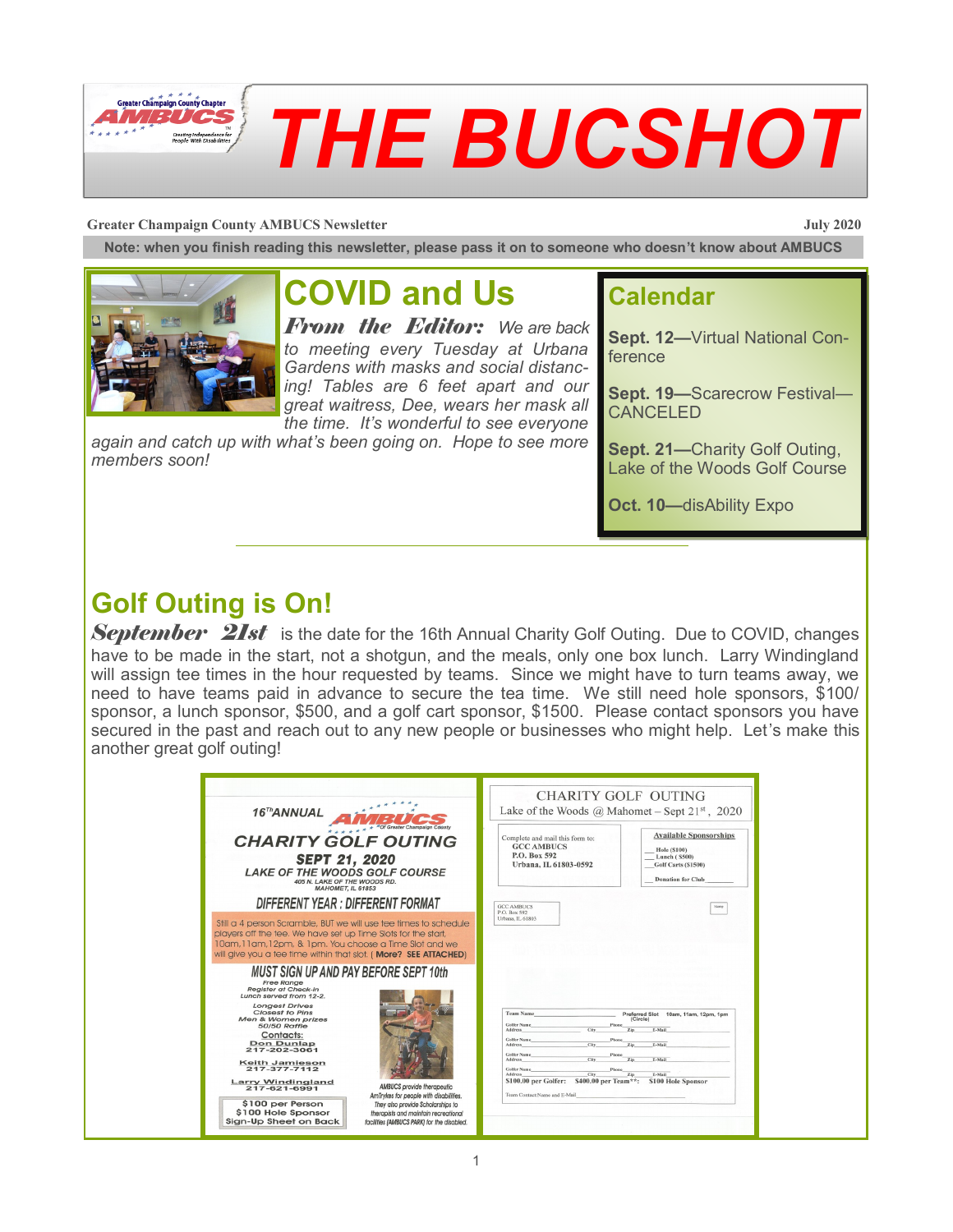

#### **Greater Champaign County AMBUCS Newsletter July 2020**

**Note: when you finish reading this newsletter, please pass it on to someone who doesn't know about AMBUCS**



# **COVID and Us**

*From the Editor: We are back to meeting every Tuesday at Urbana Gardens with masks and social distancing! Tables are 6 feet apart and our great waitress, Dee, wears her mask all the time. It's wonderful to see everyone* 

*again and catch up with what's been going on. Hope to see more members soon!*

### **Calendar**

**Sept. 12—**Virtual National Conference

**Sept. 19—**Scarecrow Festival— CANCELED

**Sept. 21—**Charity Golf Outing, Lake of the Woods Golf Course

**Oct. 10—**disAbility Expo

## **Golf Outing is On!**

*September 21st* is the date for the 16th Annual Charity Golf Outing. Due to COVID, changes have to be made in the start, not a shotgun, and the meals, only one box lunch. Larry Windingland will assign tee times in the hour requested by teams. Since we might have to turn teams away, we need to have teams paid in advance to secure the tea time. We still need hole sponsors, \$100/ sponsor, a lunch sponsor, \$500, and a golf cart sponsor, \$1500. Please contact sponsors you have secured in the past and reach out to any new people or businesses who might help. Let's make this another great golf outing!

| 16 <sup>Th</sup> ANNUAL                                                                                                                                                                                                                                                                                                                                                                                                                                                                                                                                                                                             | <b>CHARITY GOLF OUTING</b><br>Lake of the Woods @ Mahomet – Sept $21^{st}$ , 2020                                                                                                                                                                             |
|---------------------------------------------------------------------------------------------------------------------------------------------------------------------------------------------------------------------------------------------------------------------------------------------------------------------------------------------------------------------------------------------------------------------------------------------------------------------------------------------------------------------------------------------------------------------------------------------------------------------|---------------------------------------------------------------------------------------------------------------------------------------------------------------------------------------------------------------------------------------------------------------|
| <b>CHARITY GOLF OUTING</b><br><b>SEPT 21, 2020</b><br><b>LAKE OF THE WOODS GOLF COURSE</b><br>405 N. LAKE OF THE WOODS RD.<br><b>MAHOMET, IL 61853</b><br>DIFFERENT YEAR : DIFFERENT FORMAT                                                                                                                                                                                                                                                                                                                                                                                                                         | <b>Available Sponsorships</b><br>Complete and mail this form to:<br><b>GCC AMBUCS</b><br><b>Hole (\$100)</b><br>P.O. Box 592<br>Lunch (S500)<br>Urbana, IL 61803-0592<br>Golf Carts (\$1500)<br><b>Donation for Club</b><br><b>GCC AMBUCS</b><br>P.O. Box 592 |
| Still a 4 person Scramble, BUT we will use tee times to schedule<br>players off the tee. We have set up Time Slots for the start,<br>10am, 11am, 12pm, & 1pm. You choose a Time Slot and we<br>will give you a tee time within that slot. (More? SEE ATTACHED)                                                                                                                                                                                                                                                                                                                                                      | Urbana, IL 61803                                                                                                                                                                                                                                              |
| <b>MUST SIGN UP AND PAY BEFORE SEPT 10th</b><br><b>Free Range</b><br><b>Realster at Check-In</b><br>Lunch served from 12-2.<br><b>Longest Drives</b><br>Closest to Pins<br><b>Team Name</b><br>Men & Women prizes<br><b>Golfer Name</b><br><b>50/50 Raffle</b><br>Address<br>Contacts:<br>Golfer Name<br><b>Don Dunlap</b><br>Address<br>217-202-3061<br><b>Golfer Name</b><br><b>Address</b><br><b>Keith Jamieson</b><br>217-377-7112<br>Golfer Name<br>Address<br>\$100.00 per Golfer:<br><b>Larry Windingland</b><br><b>AMBUCS</b> provide therapeutic<br>217-621-6991<br>AmTrykes for people with disabilities. | Preferred Slot 10am, 11am, 12pm, 1pm<br>(Circle)<br>City<br>E-Mail<br>City<br>E-Mail<br>Zip<br>Phone<br>City<br>E-Mail<br>Zip<br>E-Mail<br>City<br>\$400.00 per Team**:<br>\$100 Hole Sponsor<br>Team Contact:Name and E-Mail                                 |
| \$100 per Person<br>They also provide Scholarships to<br>\$100 Hole Sponsor<br>therapists and maintain recreational<br>Sign-Up Sheet on Back<br>facilities (AMBUCS PARK) for the disabled.                                                                                                                                                                                                                                                                                                                                                                                                                          |                                                                                                                                                                                                                                                               |